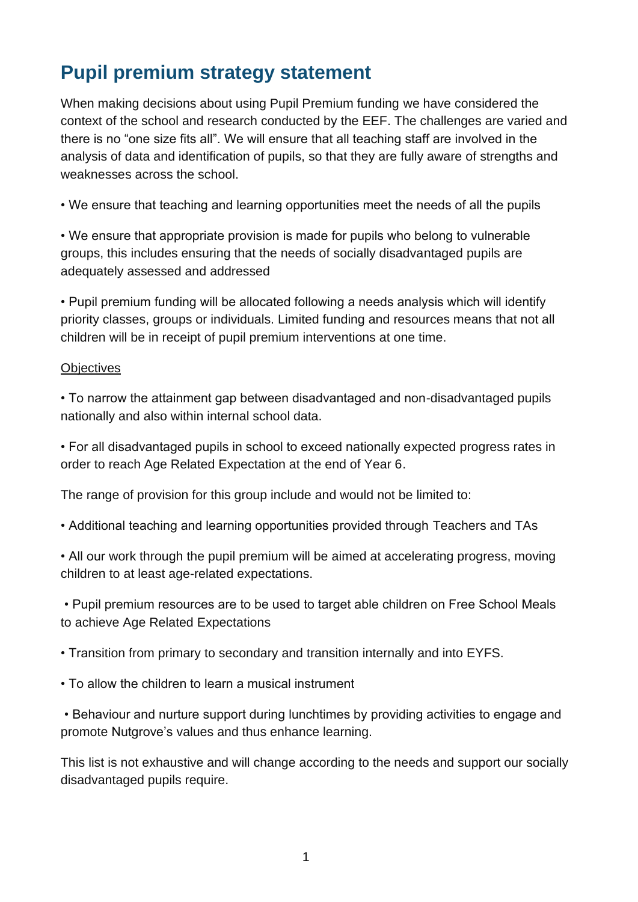# **Pupil premium strategy statement**

When making decisions about using Pupil Premium funding we have considered the context of the school and research conducted by the EEF. The challenges are varied and there is no "one size fits all". We will ensure that all teaching staff are involved in the analysis of data and identification of pupils, so that they are fully aware of strengths and weaknesses across the school.

• We ensure that teaching and learning opportunities meet the needs of all the pupils

• We ensure that appropriate provision is made for pupils who belong to vulnerable groups, this includes ensuring that the needs of socially disadvantaged pupils are adequately assessed and addressed

• Pupil premium funding will be allocated following a needs analysis which will identify priority classes, groups or individuals. Limited funding and resources means that not all children will be in receipt of pupil premium interventions at one time.

#### **Objectives**

• To narrow the attainment gap between disadvantaged and non-disadvantaged pupils nationally and also within internal school data.

• For all disadvantaged pupils in school to exceed nationally expected progress rates in order to reach Age Related Expectation at the end of Year 6.

The range of provision for this group include and would not be limited to:

• Additional teaching and learning opportunities provided through Teachers and TAs

• All our work through the pupil premium will be aimed at accelerating progress, moving children to at least age-related expectations.

• Pupil premium resources are to be used to target able children on Free School Meals to achieve Age Related Expectations

• Transition from primary to secondary and transition internally and into EYFS.

• To allow the children to learn a musical instrument

• Behaviour and nurture support during lunchtimes by providing activities to engage and promote Nutgrove's values and thus enhance learning.

This list is not exhaustive and will change according to the needs and support our socially disadvantaged pupils require.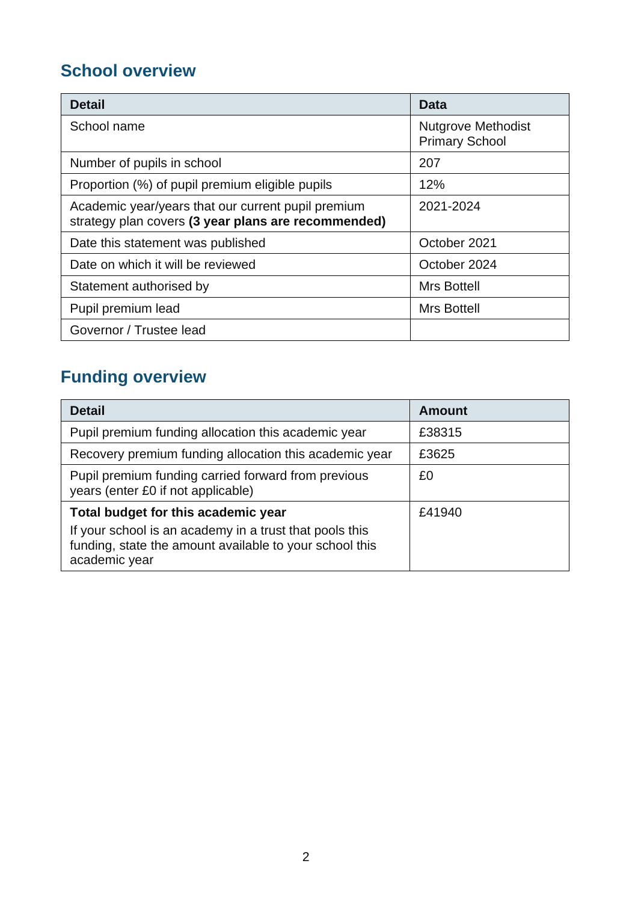# **School overview**

| <b>Detail</b>                                                                                             | Data                                               |
|-----------------------------------------------------------------------------------------------------------|----------------------------------------------------|
| School name                                                                                               | <b>Nutgrove Methodist</b><br><b>Primary School</b> |
| Number of pupils in school                                                                                | 207                                                |
| Proportion (%) of pupil premium eligible pupils                                                           | 12%                                                |
| Academic year/years that our current pupil premium<br>strategy plan covers (3 year plans are recommended) | 2021-2024                                          |
| Date this statement was published                                                                         | October 2021                                       |
| Date on which it will be reviewed                                                                         | October 2024                                       |
| Statement authorised by                                                                                   | <b>Mrs Bottell</b>                                 |
| Pupil premium lead                                                                                        | <b>Mrs Bottell</b>                                 |
| Governor / Trustee lead                                                                                   |                                                    |

# **Funding overview**

| <b>Detail</b>                                                                                                                       | <b>Amount</b> |
|-------------------------------------------------------------------------------------------------------------------------------------|---------------|
| Pupil premium funding allocation this academic year                                                                                 | £38315        |
| Recovery premium funding allocation this academic year                                                                              | £3625         |
| Pupil premium funding carried forward from previous<br>years (enter £0 if not applicable)                                           | £0            |
| Total budget for this academic year                                                                                                 | £41940        |
| If your school is an academy in a trust that pools this<br>funding, state the amount available to your school this<br>academic year |               |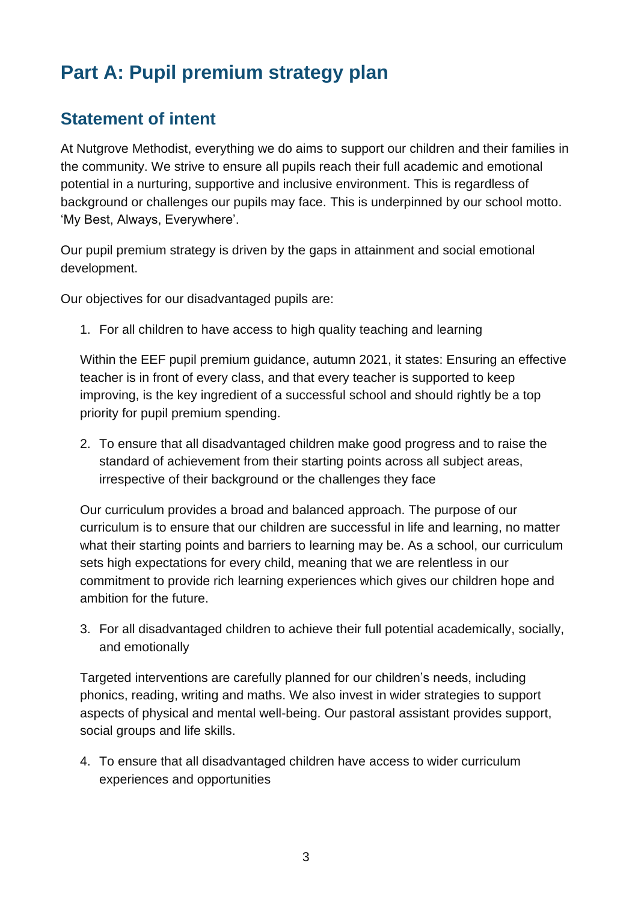# **Part A: Pupil premium strategy plan**

## **Statement of intent**

At Nutgrove Methodist, everything we do aims to support our children and their families in the community. We strive to ensure all pupils reach their full academic and emotional potential in a nurturing, supportive and inclusive environment. This is regardless of background or challenges our pupils may face. This is underpinned by our school motto. 'My Best, Always, Everywhere'.

Our pupil premium strategy is driven by the gaps in attainment and social emotional development.

Our objectives for our disadvantaged pupils are:

1. For all children to have access to high quality teaching and learning

Within the EEF pupil premium guidance, autumn 2021, it states: Ensuring an effective teacher is in front of every class, and that every teacher is supported to keep improving, is the key ingredient of a successful school and should rightly be a top priority for pupil premium spending.

2. To ensure that all disadvantaged children make good progress and to raise the standard of achievement from their starting points across all subject areas, irrespective of their background or the challenges they face

Our curriculum provides a broad and balanced approach. The purpose of our curriculum is to ensure that our children are successful in life and learning, no matter what their starting points and barriers to learning may be. As a school, our curriculum sets high expectations for every child, meaning that we are relentless in our commitment to provide rich learning experiences which gives our children hope and ambition for the future.

3. For all disadvantaged children to achieve their full potential academically, socially, and emotionally

Targeted interventions are carefully planned for our children's needs, including phonics, reading, writing and maths. We also invest in wider strategies to support aspects of physical and mental well-being. Our pastoral assistant provides support, social groups and life skills.

4. To ensure that all disadvantaged children have access to wider curriculum experiences and opportunities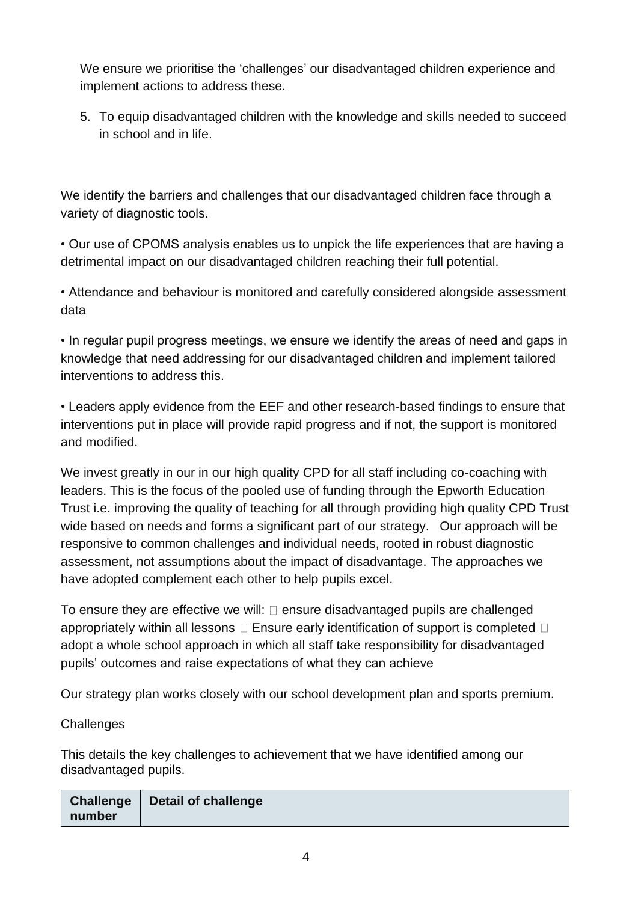We ensure we prioritise the 'challenges' our disadvantaged children experience and implement actions to address these.

5. To equip disadvantaged children with the knowledge and skills needed to succeed in school and in life.

We identify the barriers and challenges that our disadvantaged children face through a variety of diagnostic tools.

• Our use of CPOMS analysis enables us to unpick the life experiences that are having a detrimental impact on our disadvantaged children reaching their full potential.

• Attendance and behaviour is monitored and carefully considered alongside assessment data

• In regular pupil progress meetings, we ensure we identify the areas of need and gaps in knowledge that need addressing for our disadvantaged children and implement tailored interventions to address this.

• Leaders apply evidence from the EEF and other research-based findings to ensure that interventions put in place will provide rapid progress and if not, the support is monitored and modified.

We invest greatly in our in our high quality CPD for all staff including co-coaching with leaders. This is the focus of the pooled use of funding through the Epworth Education Trust i.e. improving the quality of teaching for all through providing high quality CPD Trust wide based on needs and forms a significant part of our strategy. Our approach will be responsive to common challenges and individual needs, rooted in robust diagnostic assessment, not assumptions about the impact of disadvantage. The approaches we have adopted complement each other to help pupils excel.

To ensure they are effective we will:  $\square$  ensure disadvantaged pupils are challenged appropriately within all lessons  $\square$  Ensure early identification of support is completed  $\square$ adopt a whole school approach in which all staff take responsibility for disadvantaged pupils' outcomes and raise expectations of what they can achieve

Our strategy plan works closely with our school development plan and sports premium.

### **Challenges**

This details the key challenges to achievement that we have identified among our disadvantaged pupils.

| <b>Challenge</b><br>number | Detail of challenge |
|----------------------------|---------------------|
|----------------------------|---------------------|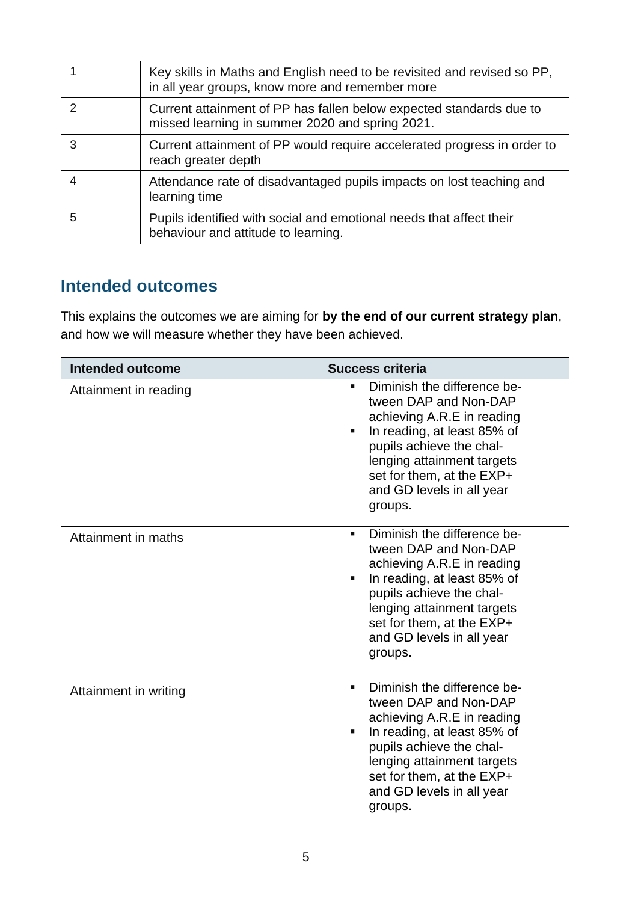|   | Key skills in Maths and English need to be revisited and revised so PP,<br>in all year groups, know more and remember more |
|---|----------------------------------------------------------------------------------------------------------------------------|
|   | Current attainment of PP has fallen below expected standards due to<br>missed learning in summer 2020 and spring 2021.     |
|   | Current attainment of PP would require accelerated progress in order to<br>reach greater depth                             |
|   | Attendance rate of disadvantaged pupils impacts on lost teaching and<br>learning time                                      |
| 5 | Pupils identified with social and emotional needs that affect their<br>behaviour and attitude to learning.                 |

## **Intended outcomes**

This explains the outcomes we are aiming for **by the end of our current strategy plan**, and how we will measure whether they have been achieved.

| Intended outcome      | <b>Success criteria</b>                                                                                                                                                                                                                               |
|-----------------------|-------------------------------------------------------------------------------------------------------------------------------------------------------------------------------------------------------------------------------------------------------|
| Attainment in reading | Diminish the difference be-<br>tween DAP and Non-DAP<br>achieving A.R.E in reading<br>In reading, at least 85% of<br>pupils achieve the chal-<br>lenging attainment targets<br>set for them, at the EXP+<br>and GD levels in all year<br>groups.      |
| Attainment in maths   | Diminish the difference be-<br>٠<br>tween DAP and Non-DAP<br>achieving A.R.E in reading<br>In reading, at least 85% of<br>pupils achieve the chal-<br>lenging attainment targets<br>set for them, at the EXP+<br>and GD levels in all year<br>groups. |
| Attainment in writing | Diminish the difference be-<br>٠<br>tween DAP and Non-DAP<br>achieving A.R.E in reading<br>In reading, at least 85% of<br>pupils achieve the chal-<br>lenging attainment targets<br>set for them, at the EXP+<br>and GD levels in all year<br>groups. |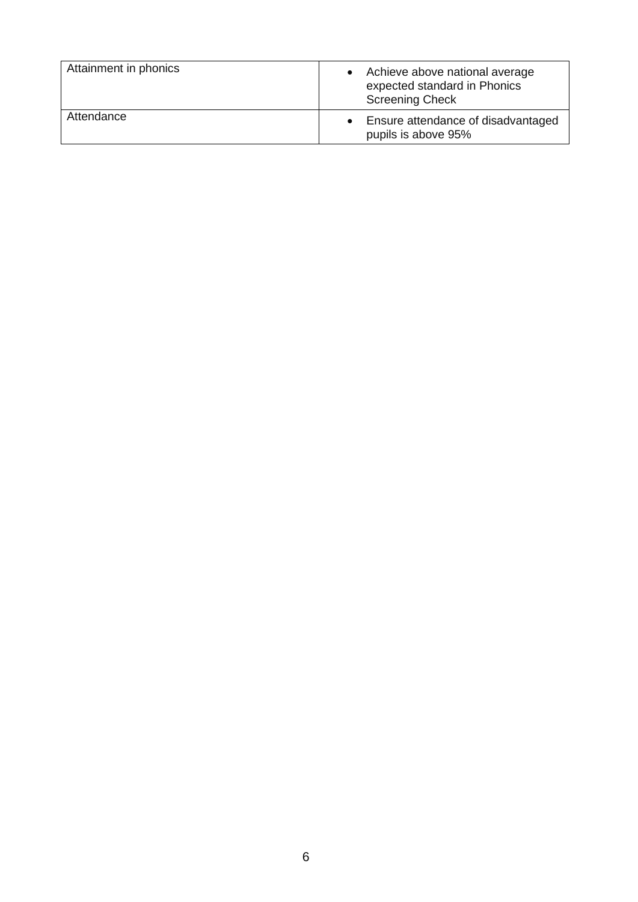| Attainment in phonics | Achieve above national average<br>expected standard in Phonics<br><b>Screening Check</b> |
|-----------------------|------------------------------------------------------------------------------------------|
| Attendance            | Ensure attendance of disadvantaged<br>pupils is above 95%                                |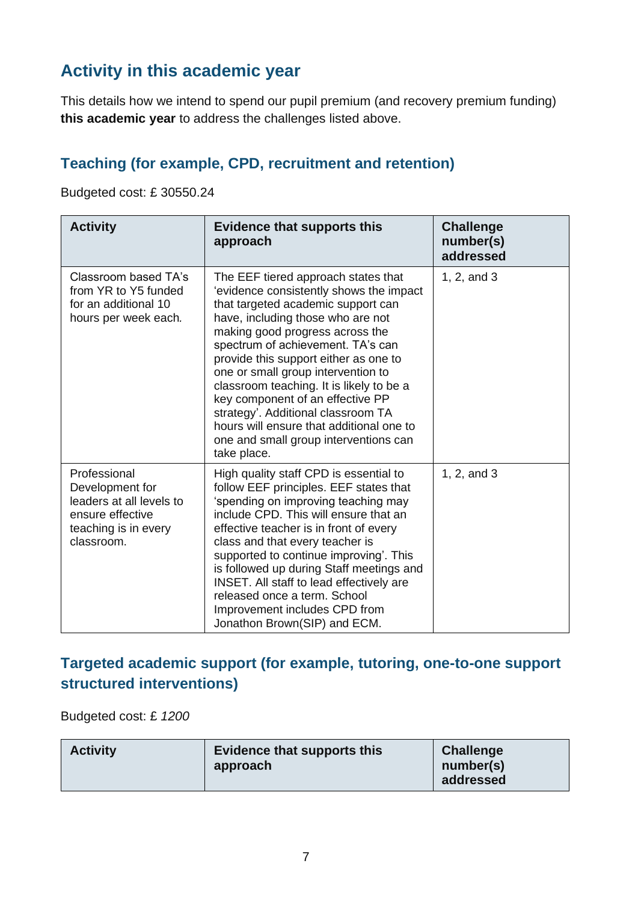# **Activity in this academic year**

This details how we intend to spend our pupil premium (and recovery premium funding) **this academic year** to address the challenges listed above.

### **Teaching (for example, CPD, recruitment and retention)**

Budgeted cost: £ 30550.24

| <b>Activity</b>                                                                                                       | <b>Evidence that supports this</b><br>approach                                                                                                                                                                                                                                                                                                                                                                                                                                                                                             | <b>Challenge</b><br>number(s)<br>addressed |
|-----------------------------------------------------------------------------------------------------------------------|--------------------------------------------------------------------------------------------------------------------------------------------------------------------------------------------------------------------------------------------------------------------------------------------------------------------------------------------------------------------------------------------------------------------------------------------------------------------------------------------------------------------------------------------|--------------------------------------------|
| Classroom based TA's<br>from YR to Y5 funded<br>for an additional 10<br>hours per week each.                          | The EEF tiered approach states that<br>'evidence consistently shows the impact<br>that targeted academic support can<br>have, including those who are not<br>making good progress across the<br>spectrum of achievement. TA's can<br>provide this support either as one to<br>one or small group intervention to<br>classroom teaching. It is likely to be a<br>key component of an effective PP<br>strategy'. Additional classroom TA<br>hours will ensure that additional one to<br>one and small group interventions can<br>take place. | 1, 2, and 3                                |
| Professional<br>Development for<br>leaders at all levels to<br>ensure effective<br>teaching is in every<br>classroom. | High quality staff CPD is essential to<br>follow EEF principles. EEF states that<br>'spending on improving teaching may<br>include CPD. This will ensure that an<br>effective teacher is in front of every<br>class and that every teacher is<br>supported to continue improving'. This<br>is followed up during Staff meetings and<br>INSET. All staff to lead effectively are<br>released once a term. School<br>Improvement includes CPD from<br>Jonathon Brown(SIP) and ECM.                                                           | 1, 2, and 3                                |

### **Targeted academic support (for example, tutoring, one-to-one support structured interventions)**

Budgeted cost: £ *1200*

| <b>Activity</b> | <b>Evidence that supports this</b><br>approach | <b>Challenge</b><br>number(s)<br>addressed |
|-----------------|------------------------------------------------|--------------------------------------------|
|-----------------|------------------------------------------------|--------------------------------------------|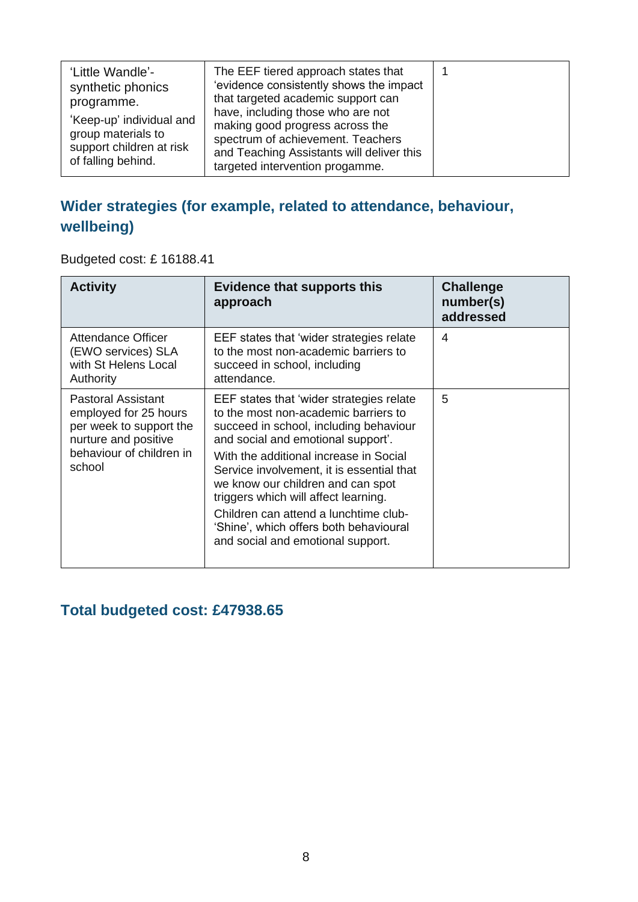| 'Little Wandle'-<br>synthetic phonics<br>programme.<br>'Keep-up' individual and<br>group materials to<br>support children at risk | The EEF tiered approach states that<br>'evidence consistently shows the impact<br>that targeted academic support can<br>have, including those who are not<br>making good progress across the<br>spectrum of achievement. Teachers<br>and Teaching Assistants will deliver this |  |
|-----------------------------------------------------------------------------------------------------------------------------------|--------------------------------------------------------------------------------------------------------------------------------------------------------------------------------------------------------------------------------------------------------------------------------|--|
| of falling behind.                                                                                                                | targeted intervention progamme.                                                                                                                                                                                                                                                |  |

## **Wider strategies (for example, related to attendance, behaviour, wellbeing)**

Budgeted cost: £ 16188.41

| <b>Activity</b>                                                                                                                             | Evidence that supports this<br>approach                                                                                                                                                                                                                                                                                                                                                                                                                      | <b>Challenge</b><br>number(s)<br>addressed |
|---------------------------------------------------------------------------------------------------------------------------------------------|--------------------------------------------------------------------------------------------------------------------------------------------------------------------------------------------------------------------------------------------------------------------------------------------------------------------------------------------------------------------------------------------------------------------------------------------------------------|--------------------------------------------|
| Attendance Officer<br>(EWO services) SLA<br>with St Helens Local<br>Authority                                                               | EEF states that 'wider strategies relate<br>to the most non-academic barriers to<br>succeed in school, including<br>attendance.                                                                                                                                                                                                                                                                                                                              | 4                                          |
| <b>Pastoral Assistant</b><br>employed for 25 hours<br>per week to support the<br>nurture and positive<br>behaviour of children in<br>school | EEF states that 'wider strategies relate<br>to the most non-academic barriers to<br>succeed in school, including behaviour<br>and social and emotional support'.<br>With the additional increase in Social<br>Service involvement, it is essential that<br>we know our children and can spot<br>triggers which will affect learning.<br>Children can attend a lunchtime club-<br>'Shine', which offers both behavioural<br>and social and emotional support. | 5                                          |

## **Total budgeted cost: £47938.65**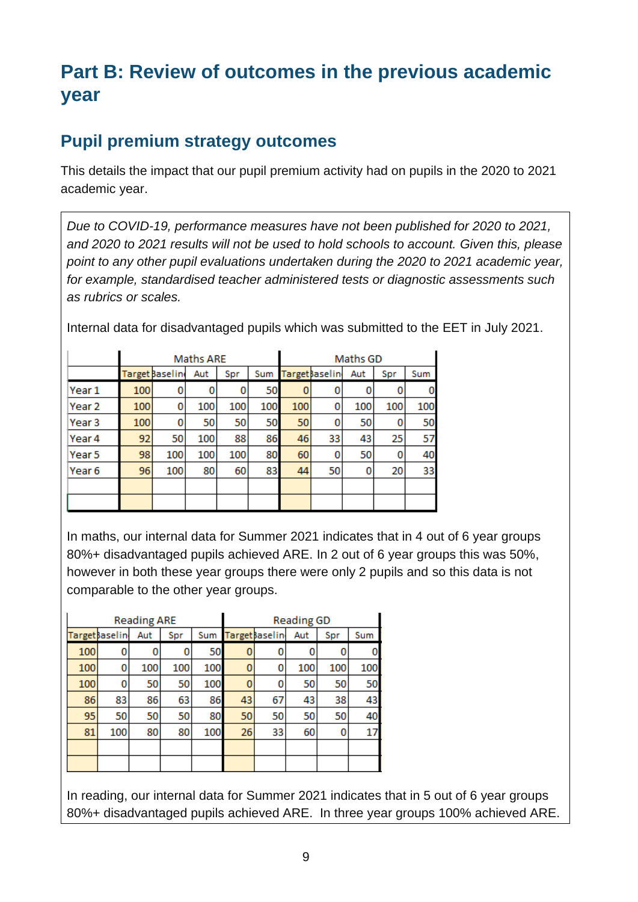# **Part B: Review of outcomes in the previous academic year**

### **Pupil premium strategy outcomes**

This details the impact that our pupil premium activity had on pupils in the 2020 to 2021 academic year.

*Due to COVID-19, performance measures have not been published for 2020 to 2021, and 2020 to 2021 results will not be used to hold schools to account. Given this, please point to any other pupil evaluations undertaken during the 2020 to 2021 academic year, for example, standardised teacher administered tests or diagnostic assessments such as rubrics or scales.*

Internal data for disadvantaged pupils which was submitted to the EET in July 2021.

|        | Maths ARE |                 |     |     |     | Maths GD |                 |     |     |     |
|--------|-----------|-----------------|-----|-----|-----|----------|-----------------|-----|-----|-----|
|        |           | Target Baseline | Aut | Spr | Sum |          | Target basel in | Aut | Spr | Sum |
| Year 1 | 100       | 0               | 0   | 0   | 50  | 0        | 0               | 0   | 0   | 0   |
| Year 2 | 100       | 0               | 100 | 100 | 100 | 100      | 0               | 100 | 100 | 100 |
| Year 3 | 100       | 0               | 50  | 50  | 50  | 50       | 0               | 50  | 0   | 50  |
| Year 4 | 92        | 50              | 100 | 88  | 86  | 46       | 33              | 43  | 25  | 57  |
| Year 5 | 98        | 100             | 100 | 100 | 80  | 60       | 0               | 50  | 0   | 40  |
| Year 6 | 96        | 100             | 80  | 60  | 83  | 44       | 50              | 0   | 20  | 33  |
|        |           |                 |     |     |     |          |                 |     |     |     |
|        |           |                 |     |     |     |          |                 |     |     |     |

In maths, our internal data for Summer 2021 indicates that in 4 out of 6 year groups 80%+ disadvantaged pupils achieved ARE. In 2 out of 6 year groups this was 50%, however in both these year groups there were only 2 pupils and so this data is not comparable to the other year groups.

| <b>Reading ARE</b> |                |     |     |     |                |     | <b>Reading GD</b> |     |     |
|--------------------|----------------|-----|-----|-----|----------------|-----|-------------------|-----|-----|
|                    | Target Baselin | Aut | Spr | Sum | Target Baselin | Sum |                   |     |     |
| 100                | 0              |     | 0   | 50  | 0              | 0   | 0                 | 0   |     |
| 100                | 0              | 100 | 100 | 100 | 0              | 0   | 100               | 100 | 100 |
| 100                | 0              | 50  | 50  | 100 | 0              | 0   | 50                | 50  | 50  |
| 86                 | 83             | 86  | 63  | 86  | 43             | 67  | 43                | 38  | 43  |
| 95                 | 50             | 50  | 50  | 80  | 50             | 50  | 50                | 50  | 40  |
| 81                 | 100            | 80  | 80  | 100 | 26             | 33  | 60                | 0   | 17  |
|                    |                |     |     |     |                |     |                   |     |     |
|                    |                |     |     |     |                |     |                   |     |     |

In reading, our internal data for Summer 2021 indicates that in 5 out of 6 year groups 80%+ disadvantaged pupils achieved ARE. In three year groups 100% achieved ARE.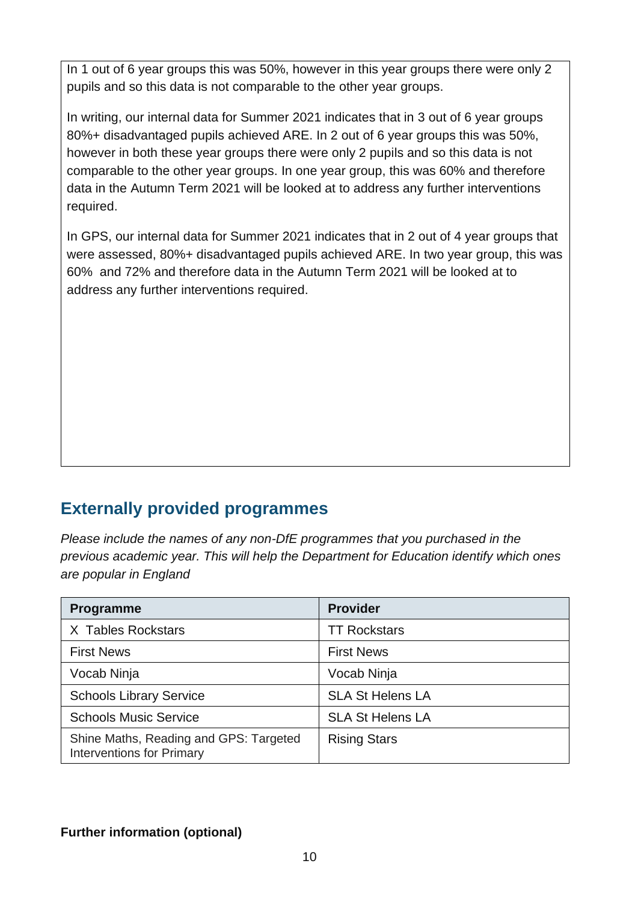In 1 out of 6 year groups this was 50%, however in this year groups there were only 2 pupils and so this data is not comparable to the other year groups.

In writing, our internal data for Summer 2021 indicates that in 3 out of 6 year groups 80%+ disadvantaged pupils achieved ARE. In 2 out of 6 year groups this was 50%, however in both these year groups there were only 2 pupils and so this data is not comparable to the other year groups. In one year group, this was 60% and therefore data in the Autumn Term 2021 will be looked at to address any further interventions required.

In GPS, our internal data for Summer 2021 indicates that in 2 out of 4 year groups that were assessed, 80%+ disadvantaged pupils achieved ARE. In two year group, this was 60% and 72% and therefore data in the Autumn Term 2021 will be looked at to address any further interventions required.

# **Externally provided programmes**

*Please include the names of any non-DfE programmes that you purchased in the previous academic year. This will help the Department for Education identify which ones are popular in England*

| <b>Programme</b>                                                           | <b>Provider</b>         |
|----------------------------------------------------------------------------|-------------------------|
| X Tables Rockstars                                                         | <b>TT Rockstars</b>     |
| <b>First News</b>                                                          | <b>First News</b>       |
| Vocab Ninja                                                                | Vocab Ninja             |
| <b>Schools Library Service</b>                                             | <b>SLA St Helens LA</b> |
| <b>Schools Music Service</b>                                               | <b>SLA St Helens LA</b> |
| Shine Maths, Reading and GPS: Targeted<br><b>Interventions for Primary</b> | <b>Rising Stars</b>     |

### **Further information (optional)**